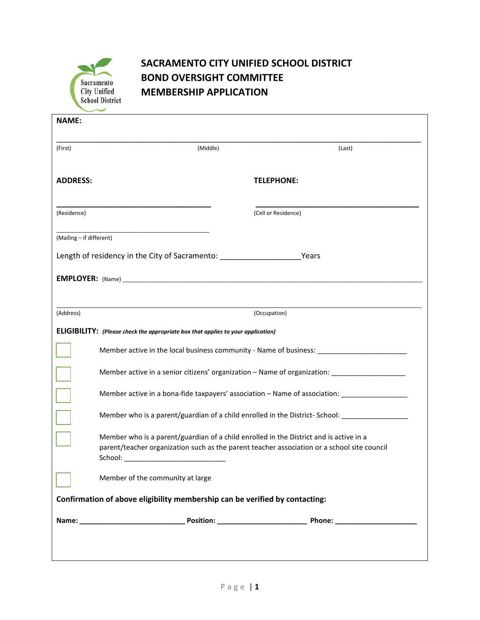

## **SACRAMENTO CITY UNIFIED SCHOOL DISTRICT BOND OVERSIGHT COMMITTEE MEMBERSHIP APPLICATION**

| <b>NAME:</b>                                                                          |                                                                                                                                                                                                  |                     |  |  |  |
|---------------------------------------------------------------------------------------|--------------------------------------------------------------------------------------------------------------------------------------------------------------------------------------------------|---------------------|--|--|--|
| (First)                                                                               | (Middle)                                                                                                                                                                                         | (Last)              |  |  |  |
| <b>ADDRESS:</b>                                                                       |                                                                                                                                                                                                  | <b>TELEPHONE:</b>   |  |  |  |
| (Residence)                                                                           |                                                                                                                                                                                                  | (Cell or Residence) |  |  |  |
| (Mailing - if different)                                                              |                                                                                                                                                                                                  |                     |  |  |  |
| Length of residency in the City of Sacramento: _________________________________Years |                                                                                                                                                                                                  |                     |  |  |  |
| <b>EMPLOYER:</b> (Name)                                                               |                                                                                                                                                                                                  |                     |  |  |  |
|                                                                                       |                                                                                                                                                                                                  |                     |  |  |  |
| (Address)                                                                             |                                                                                                                                                                                                  | (Occupation)        |  |  |  |
| ELIGIBILITY: (Please check the appropriate box that applies to your application)      |                                                                                                                                                                                                  |                     |  |  |  |
|                                                                                       | Member active in the local business community - Name of business: _____________________                                                                                                          |                     |  |  |  |
|                                                                                       | Member active in a senior citizens' organization – Name of organization: ___________________________                                                                                             |                     |  |  |  |
|                                                                                       | Member active in a bona-fide taxpayers' association - Name of association: _________________________                                                                                             |                     |  |  |  |
|                                                                                       | Member who is a parent/guardian of a child enrolled in the District-School: ________________________                                                                                             |                     |  |  |  |
|                                                                                       | Member who is a parent/guardian of a child enrolled in the District and is active in a<br>parent/teacher organization such as the parent teacher association or a school site council<br>School: |                     |  |  |  |
|                                                                                       | Member of the community at large                                                                                                                                                                 |                     |  |  |  |
| Confirmation of above eligibility membership can be verified by contacting:           |                                                                                                                                                                                                  |                     |  |  |  |
|                                                                                       |                                                                                                                                                                                                  |                     |  |  |  |
|                                                                                       |                                                                                                                                                                                                  |                     |  |  |  |
|                                                                                       |                                                                                                                                                                                                  |                     |  |  |  |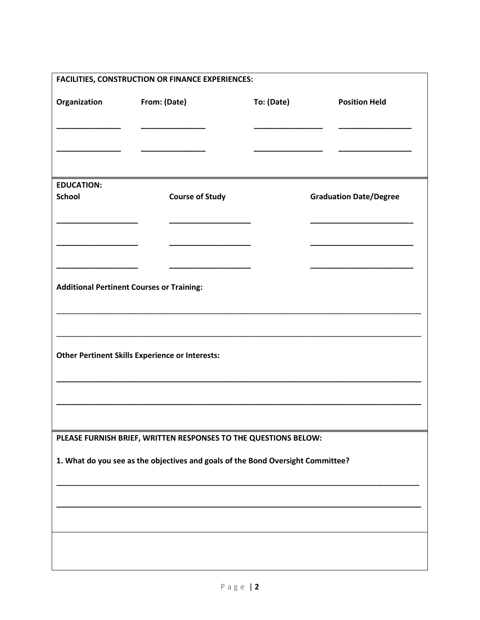| <b>FACILITIES, CONSTRUCTION OR FINANCE EXPERIENCES:</b>                         |                                                  |            |                               |  |  |  |
|---------------------------------------------------------------------------------|--------------------------------------------------|------------|-------------------------------|--|--|--|
| Organization                                                                    | From: (Date)                                     | To: (Date) | <b>Position Held</b>          |  |  |  |
|                                                                                 |                                                  |            |                               |  |  |  |
| <b>EDUCATION:</b>                                                               |                                                  |            |                               |  |  |  |
| <b>School</b>                                                                   | <b>Course of Study</b>                           |            | <b>Graduation Date/Degree</b> |  |  |  |
|                                                                                 |                                                  |            |                               |  |  |  |
|                                                                                 |                                                  |            |                               |  |  |  |
|                                                                                 | <b>Additional Pertinent Courses or Training:</b> |            |                               |  |  |  |
|                                                                                 |                                                  |            |                               |  |  |  |
| <b>Other Pertinent Skills Experience or Interests:</b>                          |                                                  |            |                               |  |  |  |
|                                                                                 |                                                  |            |                               |  |  |  |
|                                                                                 |                                                  |            |                               |  |  |  |
| PLEASE FURNISH BRIEF, WRITTEN RESPONSES TO THE QUESTIONS BELOW:                 |                                                  |            |                               |  |  |  |
| 1. What do you see as the objectives and goals of the Bond Oversight Committee? |                                                  |            |                               |  |  |  |
|                                                                                 |                                                  |            |                               |  |  |  |
|                                                                                 |                                                  |            |                               |  |  |  |
|                                                                                 |                                                  |            |                               |  |  |  |
|                                                                                 |                                                  |            |                               |  |  |  |